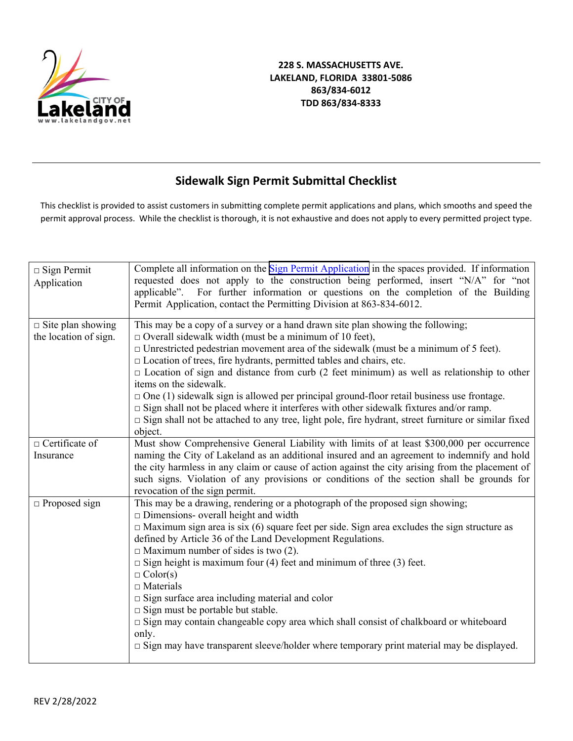

## **Sidewalk Sign Permit Submittal Checklist**

This checklist is provided to assist customers in submitting complete permit applications and plans, which smooths and speed the permit approval process. While the checklist is thorough, it is not exhaustive and does not apply to every permitted project type.

| $\Box$ Sign Permit<br>Application                 | Complete all information on the Sign Permit Application in the spaces provided. If information<br>requested does not apply to the construction being performed, insert "N/A" for "not<br>applicable". For further information or questions on the completion of the Building<br>Permit Application, contact the Permitting Division at 863-834-6012.                                                                                                                                                                                                                                                                                                                                                                                                                                           |
|---------------------------------------------------|------------------------------------------------------------------------------------------------------------------------------------------------------------------------------------------------------------------------------------------------------------------------------------------------------------------------------------------------------------------------------------------------------------------------------------------------------------------------------------------------------------------------------------------------------------------------------------------------------------------------------------------------------------------------------------------------------------------------------------------------------------------------------------------------|
| $\Box$ Site plan showing<br>the location of sign. | This may be a copy of a survey or a hand drawn site plan showing the following;<br>$\Box$ Overall sidewalk width (must be a minimum of 10 feet),<br>$\Box$ Unrestricted pedestrian movement area of the sidewalk (must be a minimum of 5 feet).<br>$\Box$ Location of trees, fire hydrants, permitted tables and chairs, etc.<br>$\Box$ Location of sign and distance from curb (2 feet minimum) as well as relationship to other<br>items on the sidewalk.<br>$\Box$ One (1) sidewalk sign is allowed per principal ground-floor retail business use frontage.<br>$\Box$ Sign shall not be placed where it interferes with other sidewalk fixtures and/or ramp.<br>□ Sign shall not be attached to any tree, light pole, fire hydrant, street furniture or similar fixed<br>object.           |
| $\Box$ Certificate of<br>Insurance                | Must show Comprehensive General Liability with limits of at least \$300,000 per occurrence<br>naming the City of Lakeland as an additional insured and an agreement to indemnify and hold<br>the city harmless in any claim or cause of action against the city arising from the placement of<br>such signs. Violation of any provisions or conditions of the section shall be grounds for<br>revocation of the sign permit.                                                                                                                                                                                                                                                                                                                                                                   |
| $\Box$ Proposed sign                              | This may be a drawing, rendering or a photograph of the proposed sign showing;<br>$\Box$ Dimensions- overall height and width<br>$\Box$ Maximum sign area is six (6) square feet per side. Sign area excludes the sign structure as<br>defined by Article 36 of the Land Development Regulations.<br>$\Box$ Maximum number of sides is two (2).<br>$\Box$ Sign height is maximum four (4) feet and minimum of three (3) feet.<br>$\Box$ Color(s)<br>$\Box$ Materials<br>$\square$ Sign surface area including material and color<br>$\square$ Sign must be portable but stable.<br>$\Box$ Sign may contain changeable copy area which shall consist of chalkboard or whiteboard<br>only.<br>$\square$ Sign may have transparent sleeve/holder where temporary print material may be displayed. |